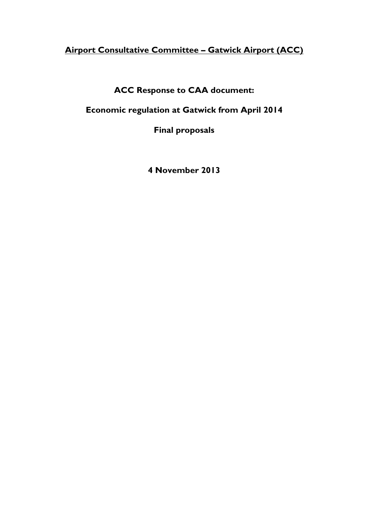# **Airport Consultative Committee – Gatwick Airport (ACC)**

**ACC Response to CAA document:**

**Economic regulation at Gatwick from April 2014**

**Final proposals**

**4 November 2013**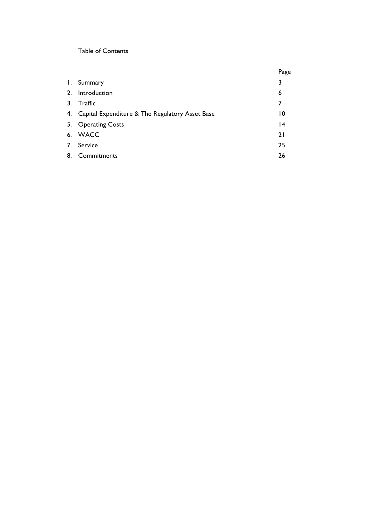## Table of Contents

|    |                                                 | Page |
|----|-------------------------------------------------|------|
|    | I. Summary                                      | 3    |
| 2. | Introduction                                    | 6    |
| 3. | Traffic                                         | 7    |
| 4. | Capital Expenditure & The Regulatory Asset Base | 10   |
|    | 5. Operating Costs                              | 14   |
|    | 6. WACC                                         | 21   |
|    | 7. Service                                      | 25   |
| 8. | Commitments                                     | 26   |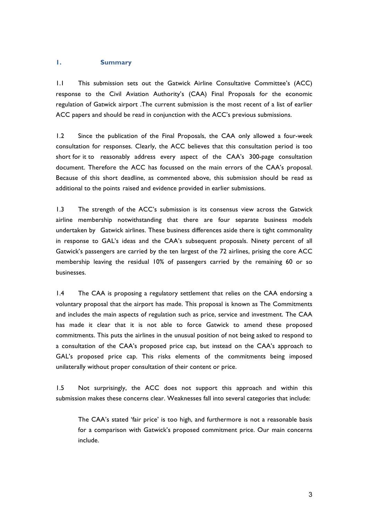#### **1. Summary**

1.1 This submission sets out the Gatwick Airline Consultative Committee's (ACC) response to the Civil Aviation Authority's (CAA) Final Proposals for the economic regulation of Gatwick airport .The current submission is the most recent of a list of earlier ACC papers and should be read in conjunction with the ACC's previous submissions.

1.2 Since the publication of the Final Proposals, the CAA only allowed a four-week consultation for responses. Clearly, the ACC believes that this consultation period is too short for it to reasonably address every aspect of the CAA's 300-page consultation document. Therefore the ACC has focussed on the main errors of the CAA's proposal. Because of this short deadline, as commented above, this submission should be read as additional to the points raised and evidence provided in earlier submissions.

1.3 The strength of the ACC's submission is its consensus view across the Gatwick airline membership notwithstanding that there are four separate business models undertaken by Gatwick airlines. These business differences aside there is tight commonality in response to GAL's ideas and the CAA's subsequent proposals. Ninety percent of all Gatwick's passengers are carried by the ten largest of the 72 airlines, prising the core ACC membership leaving the residual 10% of passengers carried by the remaining 60 or so businesses.

1.4 The CAA is proposing a regulatory settlement that relies on the CAA endorsing a voluntary proposal that the airport has made. This proposal is known as The Commitments and includes the main aspects of regulation such as price, service and investment. The CAA has made it clear that it is not able to force Gatwick to amend these proposed commitments. This puts the airlines in the unusual position of not being asked to respond to a consultation of the CAA's proposed price cap, but instead on the CAA's approach to GAL's proposed price cap. This risks elements of the commitments being imposed unilaterally without proper consultation of their content or price.

1.5 Not surprisingly, the ACC does not support this approach and within this submission makes these concerns clear. Weaknesses fall into several categories that include:

The CAA's stated 'fair price' is too high, and furthermore is not a reasonable basis for a comparison with Gatwick's proposed commitment price. Our main concerns include.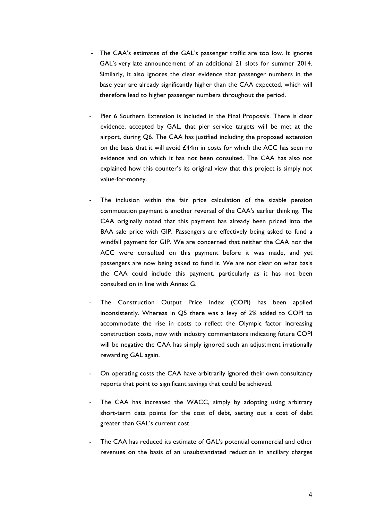- The CAA's estimates of the GAL's passenger traffic are too low. It ignores GAL's very late announcement of an additional 21 slots for summer 2014. Similarly, it also ignores the clear evidence that passenger numbers in the base year are already significantly higher than the CAA expected, which will therefore lead to higher passenger numbers throughout the period.
- Pier 6 Southern Extension is included in the Final Proposals. There is clear evidence, accepted by GAL, that pier service targets will be met at the airport, during Q6. The CAA has justified including the proposed extension on the basis that it will avoid £44m in costs for which the ACC has seen no evidence and on which it has not been consulted. The CAA has also not explained how this counter's its original view that this project is simply not value-for-money.
- The inclusion within the fair price calculation of the sizable pension commutation payment is another reversal of the CAA's earlier thinking. The CAA originally noted that this payment has already been priced into the BAA sale price with GIP. Passengers are effectively being asked to fund a windfall payment for GIP. We are concerned that neither the CAA nor the ACC were consulted on this payment before it was made, and yet passengers are now being asked to fund it. We are not clear on what basis the CAA could include this payment, particularly as it has not been consulted on in line with Annex G.
- The Construction Output Price Index (COPI) has been applied inconsistently. Whereas in Q5 there was a levy of 2% added to COPI to accommodate the rise in costs to reflect the Olympic factor increasing construction costs, now with industry commentators indicating future COPI will be negative the CAA has simply ignored such an adjustment irrationally rewarding GAL again.
- On operating costs the CAA have arbitrarily ignored their own consultancy reports that point to significant savings that could be achieved.
- The CAA has increased the WACC, simply by adopting using arbitrary short-term data points for the cost of debt, setting out a cost of debt greater than GAL's current cost.
- The CAA has reduced its estimate of GAL's potential commercial and other revenues on the basis of an unsubstantiated reduction in ancillary charges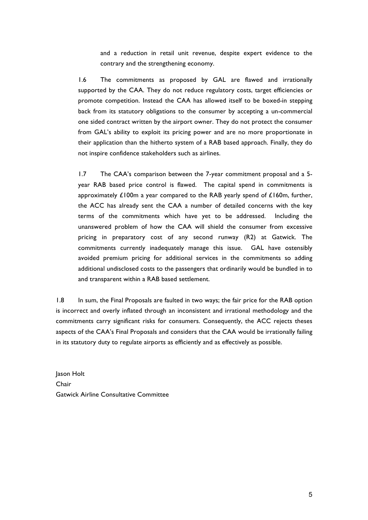and a reduction in retail unit revenue, despite expert evidence to the contrary and the strengthening economy.

1.6 The commitments as proposed by GAL are flawed and irrationally supported by the CAA. They do not reduce regulatory costs, target efficiencies or promote competition. Instead the CAA has allowed itself to be boxed-in stepping back from its statutory obligations to the consumer by accepting a un-commercial one sided contract written by the airport owner. They do not protect the consumer from GAL's ability to exploit its pricing power and are no more proportionate in their application than the hitherto system of a RAB based approach. Finally, they do not inspire confidence stakeholders such as airlines.

1.7 The CAA's comparison between the 7-year commitment proposal and a 5 year RAB based price control is flawed. The capital spend in commitments is approximately  $£100m$  a year compared to the RAB yearly spend of  $£160m$ , further, the ACC has already sent the CAA a number of detailed concerns with the key terms of the commitments which have yet to be addressed. Including the unanswered problem of how the CAA will shield the consumer from excessive pricing in preparatory cost of any second runway (R2) at Gatwick. The commitments currently inadequately manage this issue. GAL have ostensibly avoided premium pricing for additional services in the commitments so adding additional undisclosed costs to the passengers that ordinarily would be bundled in to and transparent within a RAB based settlement.

1.8 In sum, the Final Proposals are faulted in two ways; the fair price for the RAB option is incorrect and overly inflated through an inconsistent and irrational methodology and the commitments carry significant risks for consumers. Consequently, the ACC rejects theses aspects of the CAA's Final Proposals and considers that the CAA would be irrationally failing in its statutory duty to regulate airports as efficiently and as effectively as possible.

Jason Holt Chair Gatwick Airline Consultative Committee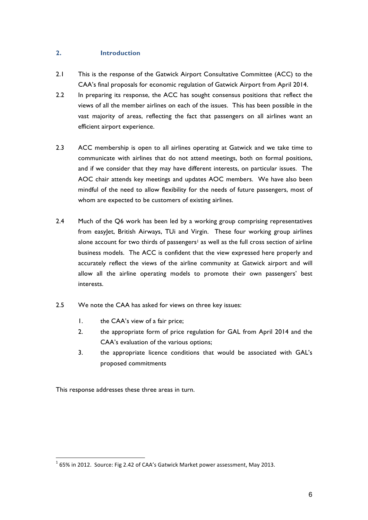## **2. Introduction**

- 2.1 This is the response of the Gatwick Airport Consultative Committee (ACC) to the CAA's final proposals for economic regulation of Gatwick Airport from April 2014.
- 2.2 In preparing its response, the ACC has sought consensus positions that reflect the views of all the member airlines on each of the issues. This has been possible in the vast majority of areas, reflecting the fact that passengers on all airlines want an efficient airport experience.
- 2.3 ACC membership is open to all airlines operating at Gatwick and we take time to communicate with airlines that do not attend meetings, both on formal positions, and if we consider that they may have different interests, on particular issues. The AOC chair attends key meetings and updates AOC members. We have also been mindful of the need to allow flexibility for the needs of future passengers, most of whom are expected to be customers of existing airlines.
- 2.4 Much of the Q6 work has been led by a working group comprising representatives from easyJet, British Airways, TUi and Virgin. These four working group airlines alone account for two thirds of passengers<sup>1</sup> as well as the full cross section of airline business models. The ACC is confident that the view expressed here properly and accurately reflect the views of the airline community at Gatwick airport and will allow all the airline operating models to promote their own passengers' best interests.
- 2.5 We note the CAA has asked for views on three key issues:
	- 1. the CAA's view of a fair price;
	- 2. the appropriate form of price regulation for GAL from April 2014 and the CAA's evaluation of the various options;
	- 3. the appropriate licence conditions that would be associated with GAL's proposed commitments

This response addresses these three areas in turn.

 $1$  65% in 2012. Source: Fig 2.42 of CAA's Gatwick Market power assessment, May 2013.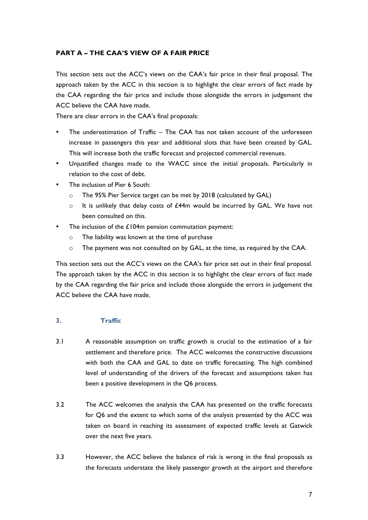## **PART A – THE CAA'S VIEW OF A FAIR PRICE**

This section sets out the ACC's views on the CAA's fair price in their final proposal. The approach taken by the ACC in this section is to highlight the clear errors of fact made by the CAA regarding the fair price and include those alongside the errors in judgement the ACC believe the CAA have made.

There are clear errors in the CAA's final proposals:

- The underestimation of Traffic The CAA has not taken account of the unforeseen increase in passengers this year and additional slots that have been created by GAL. This will increase both the traffic forecast and projected commercial revenues.
- Unjustified changes made to the WACC since the initial proposals. Particularly in relation to the cost of debt.
- The inclusion of Pier 6 South:
	- o The 95% Pier Service target can be met by 2018 (calculated by GAL)
	- $\circ$  It is unlikely that delay costs of £44m would be incurred by GAL. We have not been consulted on this.
- The inclusion of the  $£104m$  pension commutation payment:
	- o The liability was known at the time of purchase
	- $\circ$  The payment was not consulted on by GAL, at the time, as required by the CAA.

This section sets out the ACC's views on the CAA's fair price set out in their final proposal. The approach taken by the ACC in this section is to highlight the clear errors of fact made by the CAA regarding the fair price and include those alongside the errors in judgement the ACC believe the CAA have made.

## **3. Traffic**

- 3.1 A reasonable assumption on traffic growth is crucial to the estimation of a fair settlement and therefore price. The ACC welcomes the constructive discussions with both the CAA and GAL to date on traffic forecasting. The high combined level of understanding of the drivers of the forecast and assumptions taken has been a positive development in the Q6 process.
- 3.2 The ACC welcomes the analysis the CAA has presented on the traffic forecasts for Q6 and the extent to which some of the analysis presented by the ACC was taken on board in reaching its assessment of expected traffic levels at Gatwick over the next five years.
- 3.3 However, the ACC believe the balance of risk is wrong in the final proposals as the forecasts understate the likely passenger growth at the airport and therefore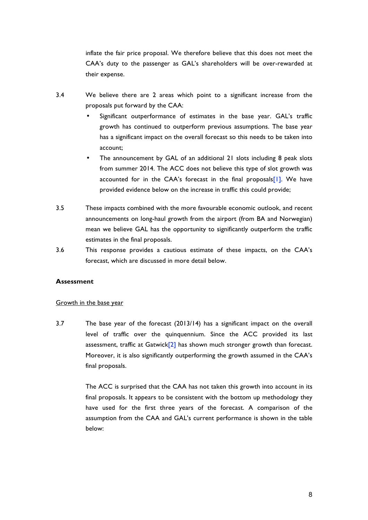inflate the fair price proposal. We therefore believe that this does not meet the CAA's duty to the passenger as GAL's shareholders will be over-rewarded at their expense.

- 3.4 We believe there are 2 areas which point to a significant increase from the proposals put forward by the CAA:
	- Significant outperformance of estimates in the base year. GAL's traffic growth has continued to outperform previous assumptions. The base year has a significant impact on the overall forecast so this needs to be taken into account;
	- The announcement by GAL of an additional 21 slots including 8 peak slots from summer 2014. The ACC does not believe this type of slot growth was accounted for in the CAA's forecast in the final proposals<sup>[1]</sup>. We have provided evidence below on the increase in traffic this could provide;
- 3.5 These impacts combined with the more favourable economic outlook, and recent announcements on long-haul growth from the airport (from BA and Norwegian) mean we believe GAL has the opportunity to significantly outperform the traffic estimates in the final proposals.
- 3.6 This response provides a cautious estimate of these impacts, on the CAA's forecast, which are discussed in more detail below.

## **Assessment**

### Growth in the base year

3.7 The base year of the forecast (2013/14) has a significant impact on the overall level of traffic over the quinquennium. Since the ACC provided its last assessment, traffic at Gatwick<sup>[2]</sup> has shown much stronger growth than forecast. Moreover, it is also significantly outperforming the growth assumed in the CAA's final proposals.

> The ACC is surprised that the CAA has not taken this growth into account in its final proposals. It appears to be consistent with the bottom up methodology they have used for the first three years of the forecast. A comparison of the assumption from the CAA and GAL's current performance is shown in the table below: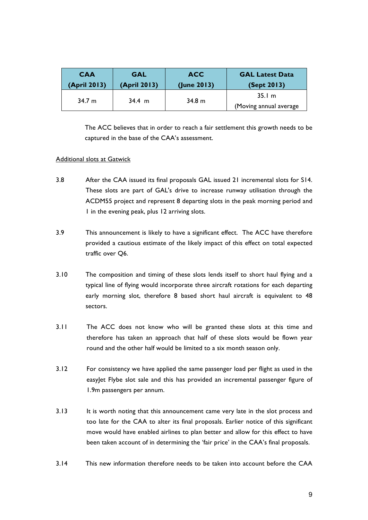| <b>CAA</b>   | <b>GAL</b>   | <b>ACC</b>  | <b>GAL Latest Data</b> |
|--------------|--------------|-------------|------------------------|
| (April 2013) | (April 2013) | (lune 2013) | (Sept 2013)            |
| 34.7 m       | $34.4 \; m$  | 34.8 m      | 35.1 m                 |
|              |              |             | (Moving annual average |

The ACC believes that in order to reach a fair settlement this growth needs to be captured in the base of the CAA's assessment.

## Additional slots at Gatwick

- 3.8 After the CAA issued its final proposals GAL issued 21 incremental slots for S14. These slots are part of GAL's drive to increase runway utilisation through the ACDM55 project and represent 8 departing slots in the peak morning period and 1 in the evening peak, plus 12 arriving slots.
- 3.9 This announcement is likely to have a significant effect. The ACC have therefore provided a cautious estimate of the likely impact of this effect on total expected traffic over Q6.
- 3.10 The composition and timing of these slots lends itself to short haul flying and a typical line of flying would incorporate three aircraft rotations for each departing early morning slot, therefore 8 based short haul aircraft is equivalent to 48 sectors.
- 3.11 The ACC does not know who will be granted these slots at this time and therefore has taken an approach that half of these slots would be flown year round and the other half would be limited to a six month season only.
- 3.12 For consistency we have applied the same passenger load per flight as used in the easyJet Flybe slot sale and this has provided an incremental passenger figure of 1.9m passengers per annum.
- 3.13 It is worth noting that this announcement came very late in the slot process and too late for the CAA to alter its final proposals. Earlier notice of this significant move would have enabled airlines to plan better and allow for this effect to have been taken account of in determining the 'fair price' in the CAA's final proposals.
- 3.14 This new information therefore needs to be taken into account before the CAA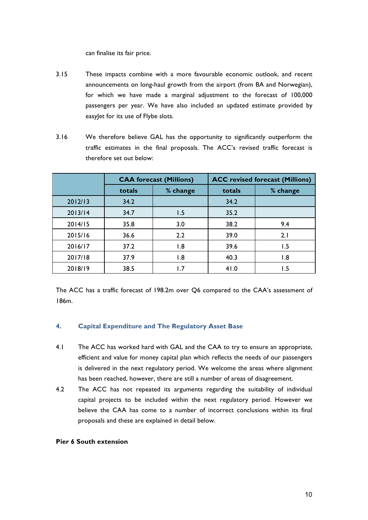can finalise its fair price.

- 3.15 These impacts combine with a more favourable economic outlook, and recent announcements on long-haul growth from the airport (from BA and Norwegian), for which we have made a marginal adjustment to the forecast of 100,000 passengers per year. We have also included an updated estimate provided by easylet for its use of Flybe slots.
- 3.16 We therefore believe GAL has the opportunity to significantly outperform the traffic estimates in the final proposals. The ACC's revised traffic forecast is therefore set out below:

|         | <b>CAA forecast (Millions)</b> |          | <b>ACC</b> revised forecast (Millions) |          |  |
|---------|--------------------------------|----------|----------------------------------------|----------|--|
|         | totals                         | % change | totals                                 | % change |  |
| 2012/13 | 34.2                           |          | 34.2                                   |          |  |
| 2013/14 | 34.7                           | 1.5      | 35.2                                   |          |  |
| 2014/15 | 35.8                           | 3.0      | 38.2                                   | 9.4      |  |
| 2015/16 | 36.6                           | 2.2      | 39.0                                   | 2.1      |  |
| 2016/17 | 37.2                           | 1.8      | 39.6                                   | 1.5      |  |
| 2017/18 | 37.9                           | 1.8      | 40.3                                   | 1.8      |  |
| 2018/19 | 38.5                           | 1.7      | 41.0                                   | 1.5      |  |

The ACC has a traffic forecast of 198.2m over Q6 compared to the CAA's assessment of 186m.

## **4. Capital Expenditure and The Regulatory Asset Base**

- 4.1 The ACC has worked hard with GAL and the CAA to try to ensure an appropriate, efficient and value for money capital plan which reflects the needs of our passengers is delivered in the next regulatory period. We welcome the areas where alignment has been reached, however, there are still a number of areas of disagreement.
- 4.2 The ACC has not repeated its arguments regarding the suitability of individual capital projects to be included within the next regulatory period. However we believe the CAA has come to a number of incorrect conclusions within its final proposals and these are explained in detail below.

### **Pier 6 South extension**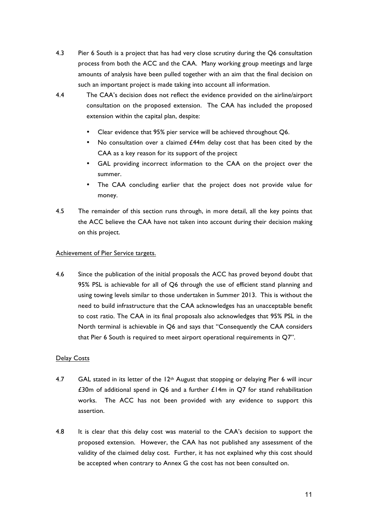- 4.3 Pier 6 South is a project that has had very close scrutiny during the Q6 consultation process from both the ACC and the CAA. Many working group meetings and large amounts of analysis have been pulled together with an aim that the final decision on such an important project is made taking into account all information.
- 4.4 The CAA's decision does not reflect the evidence provided on the airline/airport consultation on the proposed extension. The CAA has included the proposed extension within the capital plan, despite:
	- Clear evidence that 95% pier service will be achieved throughout Q6.
	- No consultation over a claimed £44m delay cost that has been cited by the CAA as a key reason for its support of the project
	- GAL providing incorrect information to the CAA on the project over the summer.
	- The CAA concluding earlier that the project does not provide value for money.
- 4.5 The remainder of this section runs through, in more detail, all the key points that the ACC believe the CAA have not taken into account during their decision making on this project.

## Achievement of Pier Service targets.

4.6 Since the publication of the initial proposals the ACC has proved beyond doubt that 95% PSL is achievable for all of Q6 through the use of efficient stand planning and using towing levels similar to those undertaken in Summer 2013. This is without the need to build infrastructure that the CAA acknowledges has an unacceptable benefit to cost ratio. The CAA in its final proposals also acknowledges that 95% PSL in the North terminal is achievable in Q6 and says that "Consequently the CAA considers that Pier 6 South is required to meet airport operational requirements in Q7".

## Delay Costs

- 4.7 GAL stated in its letter of the  $12<sup>th</sup>$  August that stopping or delaying Pier 6 will incur £30m of additional spend in Q6 and a further £14m in Q7 for stand rehabilitation works. The ACC has not been provided with any evidence to support this assertion.
- 4.8 It is clear that this delay cost was material to the CAA's decision to support the proposed extension. However, the CAA has not published any assessment of the validity of the claimed delay cost. Further, it has not explained why this cost should be accepted when contrary to Annex G the cost has not been consulted on.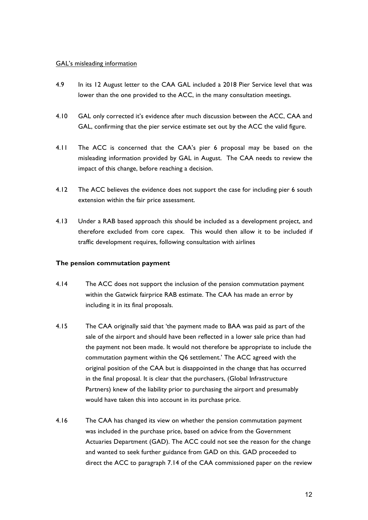## GAL's misleading information

- 4.9 In its 12 August letter to the CAA GAL included a 2018 Pier Service level that was lower than the one provided to the ACC, in the many consultation meetings.
- 4.10 GAL only corrected it's evidence after much discussion between the ACC, CAA and GAL, confirming that the pier service estimate set out by the ACC the valid figure.
- 4.11 The ACC is concerned that the CAA's pier 6 proposal may be based on the misleading information provided by GAL in August. The CAA needs to review the impact of this change, before reaching a decision.
- 4.12 The ACC believes the evidence does not support the case for including pier 6 south extension within the fair price assessment.
- 4.13 Under a RAB based approach this should be included as a development project, and therefore excluded from core capex. This would then allow it to be included if traffic development requires, following consultation with airlines

## **The pension commutation payment**

- 4.14 The ACC does not support the inclusion of the pension commutation payment within the Gatwick fairprice RAB estimate. The CAA has made an error by including it in its final proposals.
- 4.15 The CAA originally said that 'the payment made to BAA was paid as part of the sale of the airport and should have been reflected in a lower sale price than had the payment not been made. It would not therefore be appropriate to include the commutation payment within the Q6 settlement.' The ACC agreed with the original position of the CAA but is disappointed in the change that has occurred in the final proposal. It is clear that the purchasers, (Global Infrastructure Partners) knew of the liability prior to purchasing the airport and presumably would have taken this into account in its purchase price.
- 4.16 The CAA has changed its view on whether the pension commutation payment was included in the purchase price, based on advice from the Government Actuaries Department (GAD). The ACC could not see the reason for the change and wanted to seek further guidance from GAD on this. GAD proceeded to direct the ACC to paragraph 7.14 of the CAA commissioned paper on the review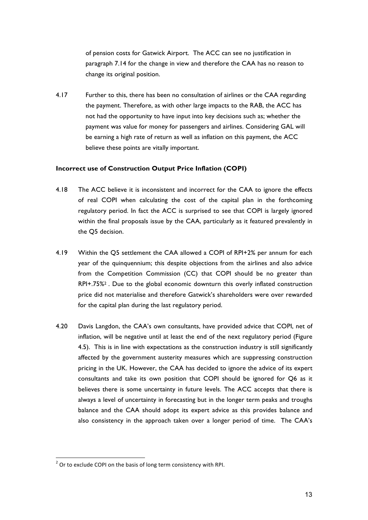of pension costs for Gatwick Airport. The ACC can see no justification in paragraph 7.14 for the change in view and therefore the CAA has no reason to change its original position.

4.17 Further to this, there has been no consultation of airlines or the CAA regarding the payment. Therefore, as with other large impacts to the RAB, the ACC has not had the opportunity to have input into key decisions such as; whether the payment was value for money for passengers and airlines. Considering GAL will be earning a high rate of return as well as inflation on this payment, the ACC believe these points are vitally important.

### **Incorrect use of Construction Output Price Inflation (COPI)**

- 4.18 The ACC believe it is inconsistent and incorrect for the CAA to ignore the effects of real COPI when calculating the cost of the capital plan in the forthcoming regulatory period. In fact the ACC is surprised to see that COPI is largely ignored within the final proposals issue by the CAA, particularly as it featured prevalently in the Q5 decision.
- 4.19 Within the Q5 settlement the CAA allowed a COPI of RPI+2% per annum for each year of the quinquennium; this despite objections from the airlines and also advice from the Competition Commission (CC) that COPI should be no greater than RPI+.75%2 . Due to the global economic downturn this overly inflated construction price did not materialise and therefore Gatwick's shareholders were over rewarded for the capital plan during the last regulatory period.
- 4.20 Davis Langdon, the CAA's own consultants, have provided advice that COPI, net of inflation, will be negative until at least the end of the next regulatory period (Figure 4.5). This is in line with expectations as the construction industry is still significantly affected by the government austerity measures which are suppressing construction pricing in the UK. However, the CAA has decided to ignore the advice of its expert consultants and take its own position that COPI should be ignored for Q6 as it believes there is some uncertainty in future levels. The ACC accepts that there is always a level of uncertainty in forecasting but in the longer term peaks and troughs balance and the CAA should adopt its expert advice as this provides balance and also consistency in the approach taken over a longer period of time. The CAA's

 $2$  Or to exclude COPI on the basis of long term consistency with RPI.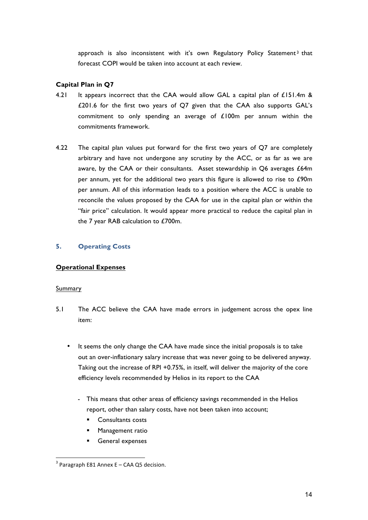approach is also inconsistent with it's own Regulatory Policy Statement<sup>3</sup> that forecast COPI would be taken into account at each review.

## **Capital Plan in Q7**

- 4.21 It appears incorrect that the CAA would allow GAL a capital plan of  $£151.4m$  & £201.6 for the first two years of Q7 given that the CAA also supports GAL's commitment to only spending an average of  $£100m$  per annum within the commitments framework.
- 4.22 The capital plan values put forward for the first two years of Q7 are completely arbitrary and have not undergone any scrutiny by the ACC, or as far as we are aware, by the CAA or their consultants. Asset stewardship in Q6 averages £64m per annum, yet for the additional two years this figure is allowed to rise to £90m per annum. All of this information leads to a position where the ACC is unable to reconcile the values proposed by the CAA for use in the capital plan or within the "fair price" calculation. It would appear more practical to reduce the capital plan in the 7 year RAB calculation to £700m.

## **5. Operating Costs**

## **Operational Expenses**

### **Summary**

- 5.1 The ACC believe the CAA have made errors in judgement across the opex line item:
	- It seems the only change the CAA have made since the initial proposals is to take out an over-inflationary salary increase that was never going to be delivered anyway. Taking out the increase of RPI +0.75%, in itself, will deliver the majority of the core efficiency levels recommended by Helios in its report to the CAA
		- This means that other areas of efficiency savings recommended in the Helios report, other than salary costs, have not been taken into account;
			- Consultants costs
			- Management ratio
			- § General expenses

 $3$  Paragraph E81 Annex E – CAA Q5 decision.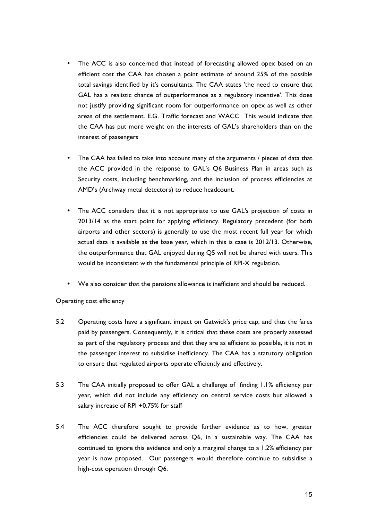- The ACC is also concerned that instead of forecasting allowed opex based on an efficient cost the CAA has chosen a point estimate of around 25% of the possible total savings identified by it's consultants. The CAA states 'the need to ensure that GAL has a realistic chance of outperformance as a regulatory incentive'. This does not justify providing significant room for outperformance on opex as well as other areas of the settlement. E.G. Traffic forecast and WACC This would indicate that the CAA has put more weight on the interests of GAL's shareholders than on the interest of passengers
- The CAA has failed to take into account many of the arguments / pieces of data that the ACC provided in the response to GAL's Q6 Business Plan in areas such as Security costs, including benchmarking, and the inclusion of process efficiencies at AMD's (Archway metal detectors) to reduce headcount.
- The ACC considers that it is not appropriate to use GAL's projection of costs in 2013/14 as the start point for applying efficiency. Regulatory precedent (for both airports and other sectors) is generally to use the most recent full year for which actual data is available as the base year, which in this is case is 2012/13. Otherwise, the outperformance that GAL enjoyed during Q5 will not be shared with users. This would be inconsistent with the fundamental principle of RPI-X regulation.
- We also consider that the pensions allowance is inefficient and should be reduced.

### Operating cost efficiency

- 5.2 Operating costs have a significant impact on Gatwick's price cap, and thus the fares paid by passengers. Consequently, it is critical that these costs are properly assessed as part of the regulatory process and that they are as efficient as possible, it is not in the passenger interest to subsidise inefficiency. The CAA has a statutory obligation to ensure that regulated airports operate efficiently and effectively.
- 5.3 The CAA initially proposed to offer GAL a challenge of finding 1.1% efficiency per year, which did not include any efficiency on central service costs but allowed a salary increase of RPI +0.75% for staff
- 5.4 The ACC therefore sought to provide further evidence as to how, greater efficiencies could be delivered across Q6, in a sustainable way. The CAA has continued to ignore this evidence and only a marginal change to a 1.2% efficiency per year is now proposed. Our passengers would therefore continue to subsidise a high-cost operation through Q6.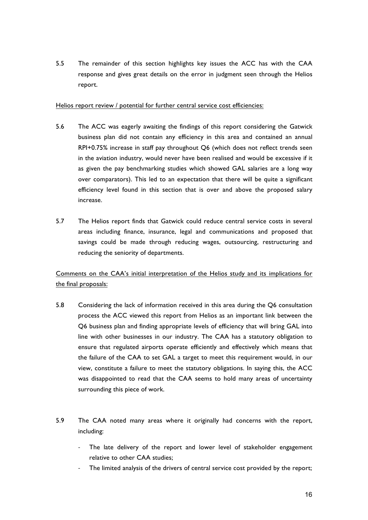5.5 The remainder of this section highlights key issues the ACC has with the CAA response and gives great details on the error in judgment seen through the Helios report.

## Helios report review / potential for further central service cost efficiencies:

- 5.6 The ACC was eagerly awaiting the findings of this report considering the Gatwick business plan did not contain any efficiency in this area and contained an annual RPI+0.75% increase in staff pay throughout Q6 (which does not reflect trends seen in the aviation industry, would never have been realised and would be excessive if it as given the pay benchmarking studies which showed GAL salaries are a long way over comparators). This led to an expectation that there will be quite a significant efficiency level found in this section that is over and above the proposed salary increase.
- 5.7 The Helios report finds that Gatwick could reduce central service costs in several areas including finance, insurance, legal and communications and proposed that savings could be made through reducing wages, outsourcing, restructuring and reducing the seniority of departments.

Comments on the CAA's initial interpretation of the Helios study and its implications for the final proposals:

- 5.8 Considering the lack of information received in this area during the Q6 consultation process the ACC viewed this report from Helios as an important link between the Q6 business plan and finding appropriate levels of efficiency that will bring GAL into line with other businesses in our industry. The CAA has a statutory obligation to ensure that regulated airports operate efficiently and effectively which means that the failure of the CAA to set GAL a target to meet this requirement would, in our view, constitute a failure to meet the statutory obligations. In saying this, the ACC was disappointed to read that the CAA seems to hold many areas of uncertainty surrounding this piece of work.
- 5.9 The CAA noted many areas where it originally had concerns with the report, including:
	- The late delivery of the report and lower level of stakeholder engagement relative to other CAA studies;
	- The limited analysis of the drivers of central service cost provided by the report;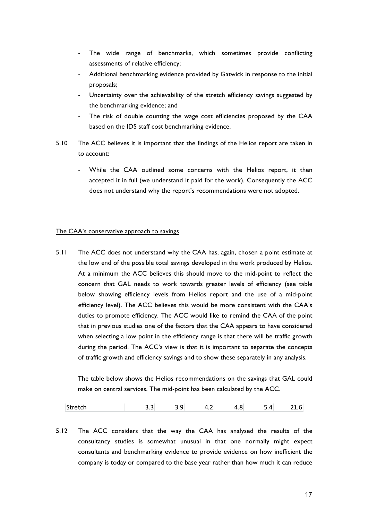- The wide range of benchmarks, which sometimes provide conflicting assessments of relative efficiency;
- Additional benchmarking evidence provided by Gatwick in response to the initial proposals;
- Uncertainty over the achievability of the stretch efficiency savings suggested by the benchmarking evidence; and
- The risk of double counting the wage cost efficiencies proposed by the CAA based on the IDS staff cost benchmarking evidence.
- 5.10 The ACC believes it is important that the findings of the Helios report are taken in to account:
	- While the CAA outlined some concerns with the Helios report, it then accepted it in full (we understand it paid for the work). Consequently the ACC does not understand why the report's recommendations were not adopted.

#### The CAA's conservative approach to savings

5.11 The ACC does not understand why the CAA has, again, chosen a point estimate at the low end of the possible total savings developed in the work produced by Helios. At a minimum the ACC believes this should move to the mid-point to reflect the concern that GAL needs to work towards greater levels of efficiency (see table below showing efficiency levels from Helios report and the use of a mid-point efficiency level). The ACC believes this would be more consistent with the CAA's duties to promote efficiency. The ACC would like to remind the CAA of the point that in previous studies one of the factors that the CAA appears to have considered when selecting a low point in the efficiency range is that there will be traffic growth during the period. The ACC's view is that it is important to separate the concepts of traffic growth and efficiency savings and to show these separately in any analysis.

The table below shows the Helios recommendations on the savings that GAL could make on central services. The mid-point has been calculated by the ACC.

| ™Str | . |  | --- |
|------|---|--|-----|
|      |   |  |     |

5.12 The ACC considers that the way the CAA has analysed the results of the consultancy studies is somewhat unusual in that one normally might expect consultants and benchmarking evidence to provide evidence on how inefficient the company is today or compared to the base year rather than how much it can reduce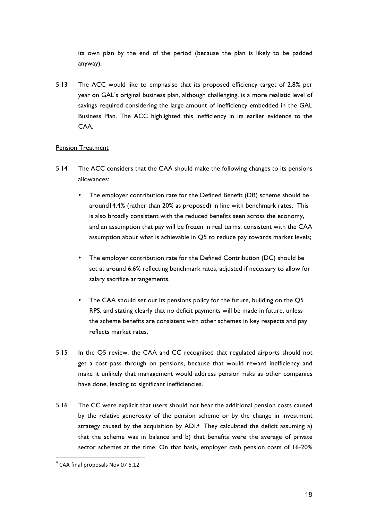its own plan by the end of the period (because the plan is likely to be padded anyway).

5.13 The ACC would like to emphasise that its proposed efficiency target of 2.8% per year on GAL's original business plan, although challenging, is a more realistic level of savings required considering the large amount of inefficiency embedded in the GAL Business Plan. The ACC highlighted this inefficiency in its earlier evidence to the CAA.

### Pension Treatment

- 5.14 The ACC considers that the CAA should make the following changes to its pensions allowances:
	- The employer contribution rate for the Defined Benefit (DB) scheme should be around14.4% (rather than 20% as proposed) in line with benchmark rates. This is also broadly consistent with the reduced benefits seen across the economy, and an assumption that pay will be frozen in real terms, consistent with the CAA assumption about what is achievable in Q5 to reduce pay towards market levels;
	- The employer contribution rate for the Defined Contribution (DC) should be set at around 6.6% reflecting benchmark rates, adjusted if necessary to allow for salary sacrifice arrangements.
	- The CAA should set out its pensions policy for the future, building on the Q5 RPS, and stating clearly that no deficit payments will be made in future, unless the scheme benefits are consistent with other schemes in key respects and pay reflects market rates.
- 5.15 In the Q5 review, the CAA and CC recognised that regulated airports should not get a cost pass through on pensions, because that would reward inefficiency and make it unlikely that management would address pension risks as other companies have done, leading to significant inefficiencies.
- 5.16 The CC were explicit that users should not bear the additional pension costs caused by the relative generosity of the pension scheme or by the change in investment strategy caused by the acquisition by ADI. 4 They calculated the deficit assuming a) that the scheme was in balance and b) that benefits were the average of private sector schemes at the time. On that basis, employer cash pension costs of 16-20%

 $4$  CAA final proposals Nov 07 6.12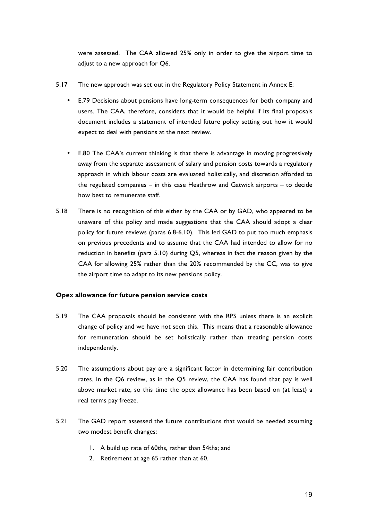were assessed. The CAA allowed 25% only in order to give the airport time to adjust to a new approach for Q6.

- 5.17 The new approach was set out in the Regulatory Policy Statement in Annex E:
	- E.79 Decisions about pensions have long-term consequences for both company and users. The CAA, therefore, considers that it would be helpful if its final proposals document includes a statement of intended future policy setting out how it would expect to deal with pensions at the next review.
	- E.80 The CAA's current thinking is that there is advantage in moving progressively away from the separate assessment of salary and pension costs towards a regulatory approach in which labour costs are evaluated holistically, and discretion afforded to the regulated companies – in this case Heathrow and Gatwick airports – to decide how best to remunerate staff.
- 5.18 There is no recognition of this either by the CAA or by GAD, who appeared to be unaware of this policy and made suggestions that the CAA should adopt a clear policy for future reviews (paras 6.8-6.10). This led GAD to put too much emphasis on previous precedents and to assume that the CAA had intended to allow for no reduction in benefits (para 5.10) during Q5, whereas in fact the reason given by the CAA for allowing 25% rather than the 20% recommended by the CC, was to give the airport time to adapt to its new pensions policy.

## **Opex allowance for future pension service costs**

- 5.19 The CAA proposals should be consistent with the RPS unless there is an explicit change of policy and we have not seen this. This means that a reasonable allowance for remuneration should be set holistically rather than treating pension costs independently.
- 5.20 The assumptions about pay are a significant factor in determining fair contribution rates. In the Q6 review, as in the Q5 review, the CAA has found that pay is well above market rate, so this time the opex allowance has been based on (at least) a real terms pay freeze.
- 5.21 The GAD report assessed the future contributions that would be needed assuming two modest benefit changes:
	- 1. A build up rate of 60ths, rather than 54ths; and
	- 2. Retirement at age 65 rather than at 60.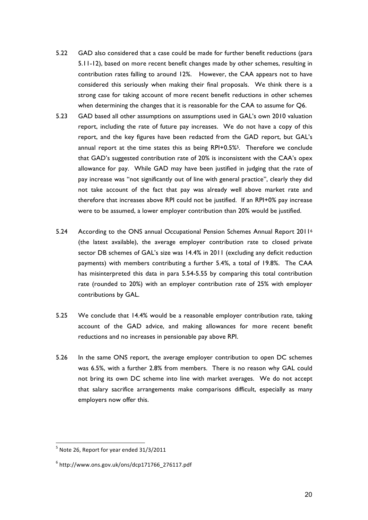- 5.22 GAD also considered that a case could be made for further benefit reductions (para 5.11-12), based on more recent benefit changes made by other schemes, resulting in contribution rates falling to around 12%. However, the CAA appears not to have considered this seriously when making their final proposals. We think there is a strong case for taking account of more recent benefit reductions in other schemes when determining the changes that it is reasonable for the CAA to assume for Q6.
- 5.23 GAD based all other assumptions on assumptions used in GAL's own 2010 valuation report, including the rate of future pay increases. We do not have a copy of this report, and the key figures have been redacted from the GAD report, but GAL's annual report at the time states this as being RPI+0.5%5. Therefore we conclude that GAD's suggested contribution rate of 20% is inconsistent with the CAA's opex allowance for pay. While GAD may have been justified in judging that the rate of pay increase was "not significantly out of line with general practice", clearly they did not take account of the fact that pay was already well above market rate and therefore that increases above RPI could not be justified. If an RPI+0% pay increase were to be assumed, a lower employer contribution than 20% would be justified.
- 5.24 According to the ONS annual Occupational Pension Schemes Annual Report 2011<sup>6</sup> (the latest available), the average employer contribution rate to closed private sector DB schemes of GAL's size was 14.4% in 2011 (excluding any deficit reduction payments) with members contributing a further 5.4%, a total of 19.8%. The CAA has misinterpreted this data in para 5.54-5.55 by comparing this total contribution rate (rounded to 20%) with an employer contribution rate of 25% with employer contributions by GAL.
- 5.25 We conclude that 14.4% would be a reasonable employer contribution rate, taking account of the GAD advice, and making allowances for more recent benefit reductions and no increases in pensionable pay above RPI.
- 5.26 In the same ONS report, the average employer contribution to open DC schemes was 6.5%, with a further 2.8% from members. There is no reason why GAL could not bring its own DC scheme into line with market averages. We do not accept that salary sacrifice arrangements make comparisons difficult, especially as many employers now offer this.

 $<sup>5</sup>$  Note 26, Report for year ended 31/3/2011</sup>

 $6$  http://www.ons.gov.uk/ons/dcp171766\_276117.pdf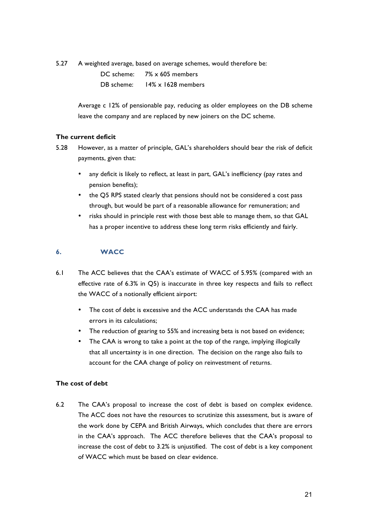5.27 A weighted average, based on average schemes, would therefore be:

DC scheme: 7% x 605 members DB scheme: 14% x 1628 members

Average c 12% of pensionable pay, reducing as older employees on the DB scheme leave the company and are replaced by new joiners on the DC scheme.

## **The current deficit**

- 5.28 However, as a matter of principle, GAL's shareholders should bear the risk of deficit payments, given that:
	- any deficit is likely to reflect, at least in part, GAL's inefficiency (pay rates and pension benefits);
	- the Q5 RPS stated clearly that pensions should not be considered a cost pass through, but would be part of a reasonable allowance for remuneration; and
	- risks should in principle rest with those best able to manage them, so that GAL has a proper incentive to address these long term risks efficiently and fairly.

## **6. WACC**

- 6.1 The ACC believes that the CAA's estimate of WACC of 5.95% (compared with an effective rate of 6.3% in Q5) is inaccurate in three key respects and fails to reflect the WACC of a notionally efficient airport:
	- The cost of debt is excessive and the ACC understands the CAA has made errors in its calculations;
	- The reduction of gearing to 55% and increasing beta is not based on evidence;
	- The CAA is wrong to take a point at the top of the range, implying illogically that all uncertainty is in one direction. The decision on the range also fails to account for the CAA change of policy on reinvestment of returns.

## **The cost of debt**

6.2 The CAA's proposal to increase the cost of debt is based on complex evidence. The ACC does not have the resources to scrutinize this assessment, but is aware of the work done by CEPA and British Airways, which concludes that there are errors in the CAA's approach. The ACC therefore believes that the CAA's proposal to increase the cost of debt to 3.2% is unjustified. The cost of debt is a key component of WACC which must be based on clear evidence.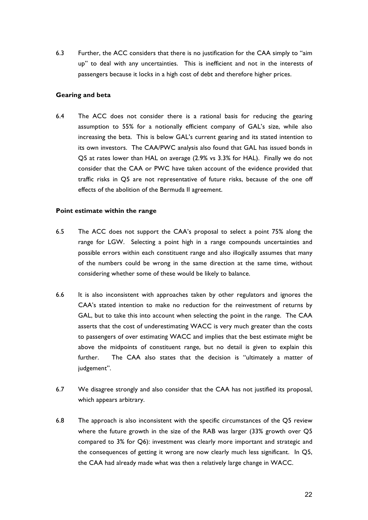6.3 Further, the ACC considers that there is no justification for the CAA simply to "aim up" to deal with any uncertainties. This is inefficient and not in the interests of passengers because it locks in a high cost of debt and therefore higher prices.

#### **Gearing and beta**

6.4 The ACC does not consider there is a rational basis for reducing the gearing assumption to 55% for a notionally efficient company of GAL's size, while also increasing the beta. This is below GAL's current gearing and its stated intention to its own investors. The CAA/PWC analysis also found that GAL has issued bonds in Q5 at rates lower than HAL on average (2.9% vs 3.3% for HAL). Finally we do not consider that the CAA or PWC have taken account of the evidence provided that traffic risks in Q5 are not representative of future risks, because of the one off effects of the abolition of the Bermuda II agreement.

#### **Point estimate within the range**

- 6.5 The ACC does not support the CAA's proposal to select a point 75% along the range for LGW. Selecting a point high in a range compounds uncertainties and possible errors within each constituent range and also illogically assumes that many of the numbers could be wrong in the same direction at the same time, without considering whether some of these would be likely to balance.
- 6.6 It is also inconsistent with approaches taken by other regulators and ignores the CAA's stated intention to make no reduction for the reinvestment of returns by GAL, but to take this into account when selecting the point in the range. The CAA asserts that the cost of underestimating WACC is very much greater than the costs to passengers of over estimating WACC and implies that the best estimate might be above the midpoints of constituent range, but no detail is given to explain this further. The CAA also states that the decision is "ultimately a matter of judgement".
- 6.7 We disagree strongly and also consider that the CAA has not justified its proposal, which appears arbitrary.
- 6.8 The approach is also inconsistent with the specific circumstances of the Q5 review where the future growth in the size of the RAB was larger (33% growth over Q5 compared to 3% for Q6): investment was clearly more important and strategic and the consequences of getting it wrong are now clearly much less significant. In Q5, the CAA had already made what was then a relatively large change in WACC.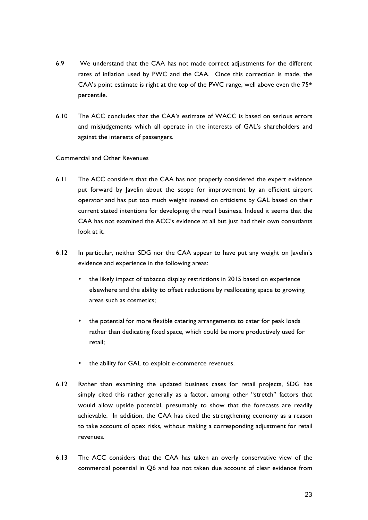- 6.9 We understand that the CAA has not made correct adjustments for the different rates of inflation used by PWC and the CAA. Once this correction is made, the CAA's point estimate is right at the top of the PWC range, well above even the  $75<sup>th</sup>$ percentile.
- 6.10 The ACC concludes that the CAA's estimate of WACC is based on serious errors and misjudgements which all operate in the interests of GAL's shareholders and against the interests of passengers.

### Commercial and Other Revenues

- 6.11 The ACC considers that the CAA has not properly considered the expert evidence put forward by Javelin about the scope for improvement by an efficient airport operator and has put too much weight instead on criticisms by GAL based on their current stated intentions for developing the retail business. Indeed it seems that the CAA has not examined the ACC's evidence at all but just had their own consutlants look at it.
- 6.12 In particular, neither SDG nor the CAA appear to have put any weight on Javelin's evidence and experience in the following areas:
	- the likely impact of tobacco display restrictions in 2015 based on experience elsewhere and the ability to offset reductions by reallocating space to growing areas such as cosmetics;
	- the potential for more flexible catering arrangements to cater for peak loads rather than dedicating fixed space, which could be more productively used for retail;
	- the ability for GAL to exploit e-commerce revenues.
- 6.12 Rather than examining the updated business cases for retail projects, SDG has simply cited this rather generally as a factor, among other "stretch" factors that would allow upside potential, presumably to show that the forecasts are readily achievable. In addition, the CAA has cited the strengthening economy as a reason to take account of opex risks, without making a corresponding adjustment for retail revenues.
- 6.13 The ACC considers that the CAA has taken an overly conservative view of the commercial potential in Q6 and has not taken due account of clear evidence from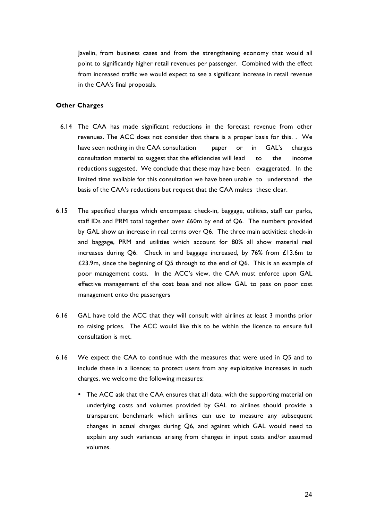Javelin, from business cases and from the strengthening economy that would all point to significantly higher retail revenues per passenger. Combined with the effect from increased traffic we would expect to see a significant increase in retail revenue in the CAA's final proposals.

#### **Other Charges**

- 6.14 The CAA has made significant reductions in the forecast revenue from other revenues. The ACC does not consider that there is a proper basis for this. . We have seen nothing in the CAA consultation paper or in GAL's charges consultation material to suggest that the efficiencies will lead to the income reductions suggested. We conclude that these may have been exaggerated. In the limited time available for this consultation we have been unable to understand the basis of the CAA's reductions but request that the CAA makes these clear.
- 6.15 The specified charges which encompass: check-in, baggage, utilities, staff car parks, staff IDs and PRM total together over £60m by end of Q6. The numbers provided by GAL show an increase in real terms over Q6. The three main activities: check-in and baggage, PRM and utilities which account for 80% all show material real increases during Q6. Check in and baggage increased, by 76% from £13.6m to £23.9m, since the beginning of Q5 through to the end of Q6. This is an example of poor management costs. In the ACC's view, the CAA must enforce upon GAL effective management of the cost base and not allow GAL to pass on poor cost management onto the passengers
- 6.16 GAL have told the ACC that they will consult with airlines at least 3 months prior to raising prices. The ACC would like this to be within the licence to ensure full consultation is met.
- 6.16 We expect the CAA to continue with the measures that were used in Q5 and to include these in a licence; to protect users from any exploitative increases in such charges, we welcome the following measures:
	- The ACC ask that the CAA ensures that all data, with the supporting material on underlying costs and volumes provided by GAL to airlines should provide a transparent benchmark which airlines can use to measure any subsequent changes in actual charges during Q6, and against which GAL would need to explain any such variances arising from changes in input costs and/or assumed volumes.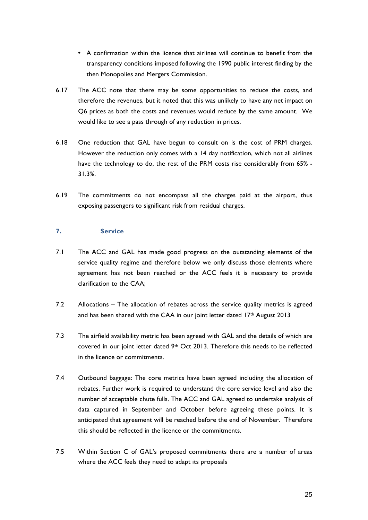- A confirmation within the licence that airlines will continue to benefit from the transparency conditions imposed following the 1990 public interest finding by the then Monopolies and Mergers Commission.
- 6.17 The ACC note that there may be some opportunities to reduce the costs, and therefore the revenues, but it noted that this was unlikely to have any net impact on Q6 prices as both the costs and revenues would reduce by the same amount. We would like to see a pass through of any reduction in prices.
- 6.18 One reduction that GAL have begun to consult on is the cost of PRM charges. However the reduction only comes with a 14 day notification, which not all airlines have the technology to do, the rest of the PRM costs rise considerably from 65% - 31.3%.
- 6.19 The commitments do not encompass all the charges paid at the airport, thus exposing passengers to significant risk from residual charges.

### **7. Service**

- 7.1 The ACC and GAL has made good progress on the outstanding elements of the service quality regime and therefore below we only discuss those elements where agreement has not been reached or the ACC feels it is necessary to provide clarification to the CAA;
- 7.2 Allocations The allocation of rebates across the service quality metrics is agreed and has been shared with the CAA in our joint letter dated  $17<sup>th</sup>$  August 2013
- 7.3 The airfield availability metric has been agreed with GAL and the details of which are covered in our joint letter dated  $9<sup>th</sup>$  Oct 2013. Therefore this needs to be reflected in the licence or commitments.
- 7.4 Outbound baggage: The core metrics have been agreed including the allocation of rebates. Further work is required to understand the core service level and also the number of acceptable chute fulls. The ACC and GAL agreed to undertake analysis of data captured in September and October before agreeing these points. It is anticipated that agreement will be reached before the end of November. Therefore this should be reflected in the licence or the commitments.
- 7.5 Within Section C of GAL's proposed commitments there are a number of areas where the ACC feels they need to adapt its proposals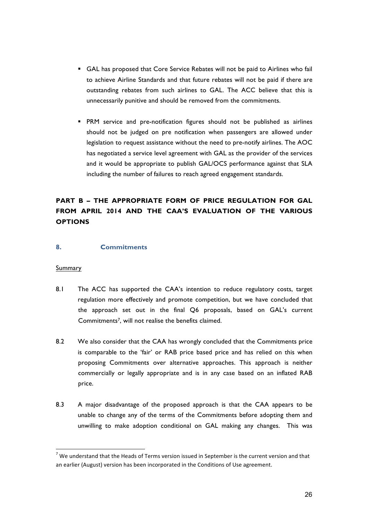- § GAL has proposed that Core Service Rebates will not be paid to Airlines who fail to achieve Airline Standards and that future rebates will not be paid if there are outstanding rebates from such airlines to GAL. The ACC believe that this is unnecessarily punitive and should be removed from the commitments.
- § PRM service and pre-notification figures should not be published as airlines should not be judged on pre notification when passengers are allowed under legislation to request assistance without the need to pre-notify airlines. The AOC has negotiated a service level agreement with GAL as the provider of the services and it would be appropriate to publish GAL/OCS performance against that SLA including the number of failures to reach agreed engagement standards.

## **PART B – THE APPROPRIATE FORM OF PRICE REGULATION FOR GAL FROM APRIL 2014 AND THE CAA'S EVALUATION OF THE VARIOUS OPTIONS**

## **8. Commitments**

### **Summary**

- 8.1 The ACC has supported the CAA's intention to reduce regulatory costs, target regulation more effectively and promote competition, but we have concluded that the approach set out in the final Q6 proposals, based on GAL's current Commitments7, will not realise the benefits claimed.
- 8.2 We also consider that the CAA has wrongly concluded that the Commitments price is comparable to the 'fair' or RAB price based price and has relied on this when proposing Commitments over alternative approaches. This approach is neither commercially or legally appropriate and is in any case based on an inflated RAB price.
- 8.3 A major disadvantage of the proposed approach is that the CAA appears to be unable to change any of the terms of the Commitments before adopting them and unwilling to make adoption conditional on GAL making any changes. This was

 $<sup>7</sup>$  We understand that the Heads of Terms version issued in September is the current version and that</sup> an earlier (August) version has been incorporated in the Conditions of Use agreement.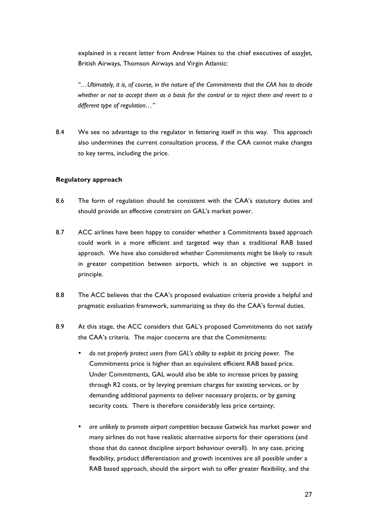explained in a recent letter from Andrew Haines to the chief executives of easylet, British Airways, Thomson Airways and Virgin Atlantic:

*"…Ultimately, it is, of course, in the nature of the Commitments that the CAA has to decide whether or not to accept them as a basis for the control or to reject them and revert to a different type of regulation…"*

8.4 We see no advantage to the regulator in fettering itself in this way. This approach also undermines the current consultation process, if the CAA cannot make changes to key terms, including the price.

### **Regulatory approach**

- 8.6 The form of regulation should be consistent with the CAA's statutory duties and should provide an effective constraint on GAL's market power.
- 8.7 ACC airlines have been happy to consider whether a Commitments based approach could work in a more efficient and targeted way than a traditional RAB based approach. We have also considered whether Commitments might be likely to result in greater competition between airports, which is an objective we support in principle.
- 8.8 The ACC believes that the CAA's proposed evaluation criteria provide a helpful and pragmatic evaluation framework, summarizing as they do the CAA's formal duties.
- 8.9 At this stage, the ACC considers that GAL's proposed Commitments do not satisfy the CAA's criteria. The major concerns are that the Commitments:
	- *do not properly protect users from GAL's ability to exploit its pricing power. T*he Commitments price is higher than an equivalent efficient RAB based price. Under Commitments, GAL would also be able to increase prices by passing through R2 costs, or by levying premium charges for existing services, or by demanding additional payments to deliver necessary projects, or by gaming security costs. There is therefore considerably less price certainty;
	- *are unlikely to promote airport competition* because Gatwick has market power and many airlines do not have realistic alternative airports for their operations (and those that do cannot discipline airport behaviour overall). In any case, pricing flexibility, product differentiation and growth incentives are all possible under a RAB based approach, should the airport wish to offer greater flexibility, and the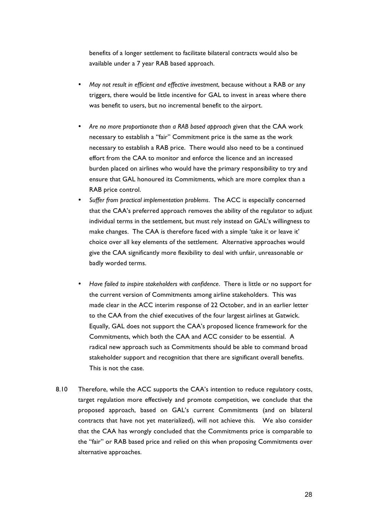benefits of a longer settlement to facilitate bilateral contracts would also be available under a 7 year RAB based approach.

- *May not result in efficient and effective investment*, because without a RAB or any triggers, there would be little incentive for GAL to invest in areas where there was benefit to users, but no incremental benefit to the airport.
- *Are no more proportionate than a RAB based approach* given that the CAA work necessary to establish a "fair" Commitment price is the same as the work necessary to establish a RAB price. There would also need to be a continued effort from the CAA to monitor and enforce the licence and an increased burden placed on airlines who would have the primary responsibility to try and ensure that GAL honoured its Commitments, which are more complex than a RAB price control.
- *Suffer from practical implementation problems*. The ACC is especially concerned that the CAA's preferred approach removes the ability of the regulator to adjust individual terms in the settlement, but must rely instead on GAL's willingness to make changes. The CAA is therefore faced with a simple 'take it or leave it' choice over all key elements of the settlement. Alternative approaches would give the CAA significantly more flexibility to deal with unfair, unreasonable or badly worded terms.
- *Have failed to inspire stakeholders with confidence*. There is little or no support for the current version of Commitments among airline stakeholders. This was made clear in the ACC interim response of 22 October, and in an earlier letter to the CAA from the chief executives of the four largest airlines at Gatwick. Equally, GAL does not support the CAA's proposed licence framework for the Commitments, which both the CAA and ACC consider to be essential. A radical new approach such as Commitments should be able to command broad stakeholder support and recognition that there are significant overall benefits. This is not the case.
- 8.10 Therefore, while the ACC supports the CAA's intention to reduce regulatory costs, target regulation more effectively and promote competition, we conclude that the proposed approach, based on GAL's current Commitments (and on bilateral contracts that have not yet materialized), will not achieve this. We also consider that the CAA has wrongly concluded that the Commitments price is comparable to the "fair" or RAB based price and relied on this when proposing Commitments over alternative approaches.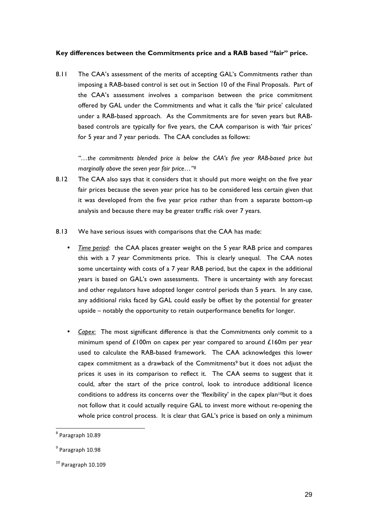### **Key differences between the Commitments price and a RAB based "fair" price.**

8.11 The CAA's assessment of the merits of accepting GAL's Commitments rather than imposing a RAB-based control is set out in Section 10 of the Final Proposals. Part of the CAA's assessment involves a comparison between the price commitment offered by GAL under the Commitments and what it calls the 'fair price' calculated under a RAB-based approach. As the Commitments are for seven years but RABbased controls are typically for five years, the CAA comparison is with 'fair prices' for 5 year and 7 year periods. The CAA concludes as follows:

*"…the commitments blended price is below the CAA's five year RAB-based price but marginally above the seven year fair price…"8*

- 8.12 The CAA also says that it considers that it should put more weight on the five year fair prices because the seven year price has to be considered less certain given that it was developed from the five year price rather than from a separate bottom-up analysis and because there may be greater traffic risk over 7 years.
- 8.13 We have serious issues with comparisons that the CAA has made:
	- *Time period*: the CAA places greater weight on the 5 year RAB price and compares this with a 7 year Commitments price. This is clearly unequal. The CAA notes some uncertainty with costs of a 7 year RAB period, but the capex in the additional years is based on GAL's own assessments. There is uncertainty with any forecast and other regulators have adopted longer control periods than 5 years. In any case, any additional risks faced by GAL could easily be offset by the potential for greater upside – notably the opportunity to retain outperformance benefits for longer.
	- *Capex*: The most significant difference is that the Commitments only commit to a minimum spend of £100m on capex per year compared to around £160m per year used to calculate the RAB-based framework. The CAA acknowledges this lower capex commitment as a drawback of the Commitments<sup>9</sup> but it does not adjust the prices it uses in its comparison to reflect it. The CAA seems to suggest that it could, after the start of the price control, look to introduce additional licence conditions to address its concerns over the 'flexibility' in the capex plan<sup>10</sup>but it does not follow that it could actually require GAL to invest more without re-opening the whole price control process. It is clear that GAL's price is based on only a minimum

 $8$  Paragraph  $10.89$ 

 $9$  Paragraph 10.98

 $10$  Paragraph  $10.109$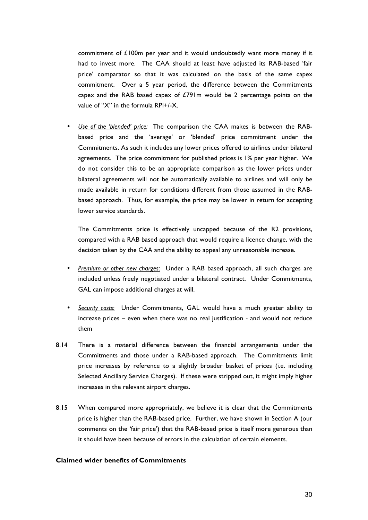commitment of  $£100m$  per year and it would undoubtedly want more money if it had to invest more. The CAA should at least have adjusted its RAB-based 'fair price' comparator so that it was calculated on the basis of the same capex commitment. Over a 5 year period, the difference between the Commitments capex and the RAB based capex of  $E$ 791m would be 2 percentage points on the value of "X" in the formula RPI+/-X.

• *Use of the 'blended' price:* The comparison the CAA makes is between the RABbased price and the 'average' or 'blended' price commitment under the Commitments. As such it includes any lower prices offered to airlines under bilateral agreements. The price commitment for published prices is 1% per year higher. We do not consider this to be an appropriate comparison as the lower prices under bilateral agreements will not be automatically available to airlines and will only be made available in return for conditions different from those assumed in the RABbased approach. Thus, for example, the price may be lower in return for accepting lower service standards.

The Commitments price is effectively uncapped because of the R2 provisions, compared with a RAB based approach that would require a licence change, with the decision taken by the CAA and the ability to appeal any unreasonable increase.

- *Premium or other new charges*: Under a RAB based approach, all such charges are included unless freely negotiated under a bilateral contract. Under Commitments, GAL can impose additional charges at will.
- *Security costs*: Under Commitments, GAL would have a much greater ability to increase prices – even when there was no real justification - and would not reduce them
- 8.14 There is a material difference between the financial arrangements under the Commitments and those under a RAB-based approach. The Commitments limit price increases by reference to a slightly broader basket of prices (i.e. including Selected Ancillary Service Charges). If these were stripped out, it might imply higher increases in the relevant airport charges.
- 8.15 When compared more appropriately, we believe it is clear that the Commitments price is higher than the RAB-based price. Further, we have shown in Section A (our comments on the 'fair price') that the RAB-based price is itself more generous than it should have been because of errors in the calculation of certain elements.

#### **Claimed wider benefits of Commitments**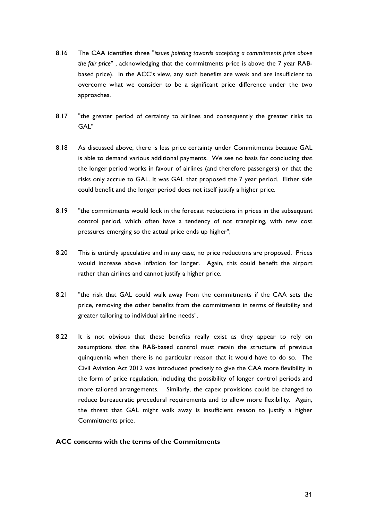- 8.16 The CAA identifies three "*issues pointing towards accepting a commitments price above the fair price*" , acknowledging that the commitments price is above the 7 year RABbased price). In the ACC's view, any such benefits are weak and are insufficient to overcome what we consider to be a significant price difference under the two approaches.
- 8.17 "the greater period of certainty to airlines and consequently the greater risks to GAL"
- 8.18 As discussed above, there is less price certainty under Commitments because GAL is able to demand various additional payments. We see no basis for concluding that the longer period works in favour of airlines (and therefore passengers) or that the risks only accrue to GAL. It was GAL that proposed the 7 year period. Either side could benefit and the longer period does not itself justify a higher price.
- 8.19 "the commitments would lock in the forecast reductions in prices in the subsequent control period, which often have a tendency of not transpiring, with new cost pressures emerging so the actual price ends up higher";
- 8.20 This is entirely speculative and in any case, no price reductions are proposed. Prices would increase above inflation for longer. Again, this could benefit the airport rather than airlines and cannot justify a higher price.
- 8.21 "the risk that GAL could walk away from the commitments if the CAA sets the price, removing the other benefits from the commitments in terms of flexibility and greater tailoring to individual airline needs".
- 8.22 It is not obvious that these benefits really exist as they appear to rely on assumptions that the RAB-based control must retain the structure of previous quinquennia when there is no particular reason that it would have to do so. The Civil Aviation Act 2012 was introduced precisely to give the CAA more flexibility in the form of price regulation, including the possibility of longer control periods and more tailored arrangements. Similarly, the capex provisions could be changed to reduce bureaucratic procedural requirements and to allow more flexibility. Again, the threat that GAL might walk away is insufficient reason to justify a higher Commitments price.

## **ACC concerns with the terms of the Commitments**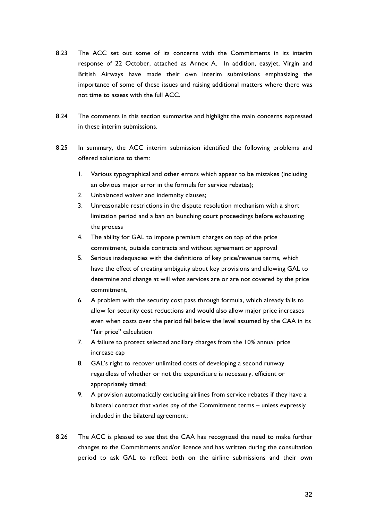- 8.23 The ACC set out some of its concerns with the Commitments in its interim response of 22 October, attached as Annex A. In addition, easyJet, Virgin and British Airways have made their own interim submissions emphasizing the importance of some of these issues and raising additional matters where there was not time to assess with the full ACC.
- 8.24 The comments in this section summarise and highlight the main concerns expressed in these interim submissions.
- 8.25 In summary, the ACC interim submission identified the following problems and offered solutions to them:
	- 1. Various typographical and other errors which appear to be mistakes (including an obvious major error in the formula for service rebates);
	- 2. Unbalanced waiver and indemnity clauses;
	- 3. Unreasonable restrictions in the dispute resolution mechanism with a short limitation period and a ban on launching court proceedings before exhausting the process
	- 4. The ability for GAL to impose premium charges on top of the price commitment, outside contracts and without agreement or approval
	- 5. Serious inadequacies with the definitions of key price/revenue terms, which have the effect of creating ambiguity about key provisions and allowing GAL to determine and change at will what services are or are not covered by the price commitment,
	- 6. A problem with the security cost pass through formula, which already fails to allow for security cost reductions and would also allow major price increases even when costs over the period fell below the level assumed by the CAA in its "fair price" calculation
	- 7. A failure to protect selected ancillary charges from the 10% annual price increase cap
	- 8. GAL's right to recover unlimited costs of developing a second runway regardless of whether or not the expenditure is necessary, efficient or appropriately timed;
	- 9. A provision automatically excluding airlines from service rebates if they have a bilateral contract that varies *any* of the Commitment terms – unless expressly included in the bilateral agreement;
- 8.26 The ACC is pleased to see that the CAA has recognized the need to make further changes to the Commitments and/or licence and has written during the consultation period to ask GAL to reflect both on the airline submissions and their own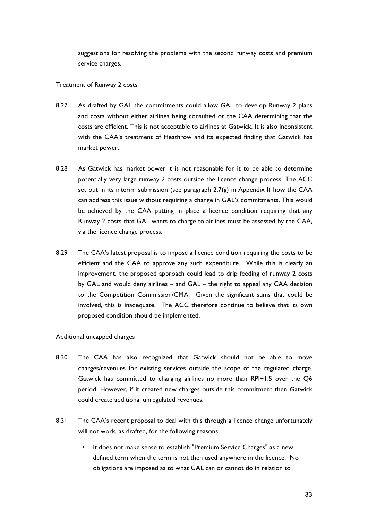suggestions for resolving the problems with the second runway costs and premium service charges.

#### Treatment of Runway 2 costs

- 8.27 As drafted by GAL the commitments could allow GAL to develop Runway 2 plans and costs without either airlines being consulted or the CAA determining that the costs are efficient. This is not acceptable to airlines at Gatwick. It is also inconsistent with the CAA's treatment of Heathrow and its expected finding that Gatwick has market power.
- 8.28 As Gatwick has market power it is not reasonable for it to be able to determine potentially very large runway 2 costs outside the licence change process. The ACC set out in its interim submission (see paragraph  $2.7(g)$  in Appendix I) how the CAA can address this issue without requiring a change in GAL's commitments. This would be achieved by the CAA putting in place a licence condition requiring that any Runway 2 costs that GAL wants to charge to airlines must be assessed by the CAA, via the licence change process.
- 8.29 The CAA's latest proposal is to impose a licence condition requiring the costs to be efficient and the CAA to approve any such expenditure. While this is clearly an improvement, the proposed approach could lead to drip feeding of runway 2 costs by GAL and would deny airlines – and GAL – the right to appeal any CAA decision to the Competition Commission/CMA. Given the significant sums that could be involved, this is inadequate. The ACC therefore continue to believe that its own proposed condition should be implemented.

#### Additional uncapped charges

- 8.30 The CAA has also recognized that Gatwick should not be able to move charges/revenues for existing services outside the scope of the regulated charge. Gatwick has committed to charging airlines no more than RPI+1.5 over the Q6 period. However, if it created new charges outside this commitment then Gatwick could create additional unregulated revenues.
- 8.31 The CAA's recent proposal to deal with this through a licence change unfortunately will not work, as drafted, for the following reasons:
	- It does not make sense to establish "Premium Service Charges" as a new defined term when the term is not then used anywhere in the licence. No obligations are imposed as to what GAL can or cannot do in relation to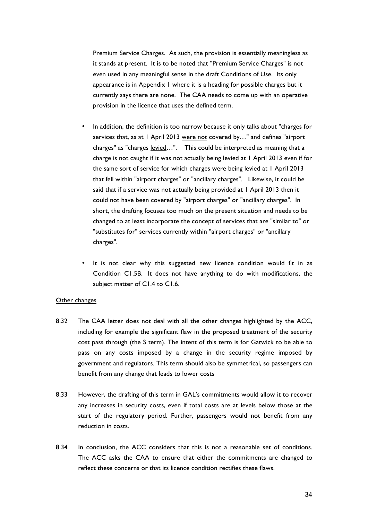Premium Service Charges. As such, the provision is essentially meaningless as it stands at present. It is to be noted that "Premium Service Charges" is not even used in any meaningful sense in the draft Conditions of Use. Its only appearance is in Appendix 1 where it is a heading for possible charges but it currently says there are none. The CAA needs to come up with an operative provision in the licence that uses the defined term.

- In addition, the definition is too narrow because it only talks about "charges for services that, as at 1 April 2013 were not covered by…" and defines "airport charges" as "charges levied...". This could be interpreted as meaning that a charge is not caught if it was not actually being levied at 1 April 2013 even if for the same sort of service for which charges were being levied at 1 April 2013 that fell within "airport charges" or "ancillary charges". Likewise, it could be said that if a service was not actually being provided at 1 April 2013 then it could not have been covered by "airport charges" or "ancillary charges". In short, the drafting focuses too much on the present situation and needs to be changed to at least incorporate the concept of services that are "similar to" or "substitutes for" services currently within "airport charges" or "ancillary charges".
- It is not clear why this suggested new licence condition would fit in as Condition C1.5B. It does not have anything to do with modifications, the subject matter of C1.4 to C1.6.

#### Other changes

- 8.32 The CAA letter does not deal with all the other changes highlighted by the ACC, including for example the significant flaw in the proposed treatment of the security cost pass through (the S term). The intent of this term is for Gatwick to be able to pass on any costs imposed by a change in the security regime imposed by government and regulators. This term should also be symmetrical, so passengers can benefit from any change that leads to lower costs
- 8.33 However, the drafting of this term in GAL's commitments would allow it to recover any increases in security costs, even if total costs are at levels below those at the start of the regulatory period. Further, passengers would not benefit from any reduction in costs.
- 8.34 In conclusion, the ACC considers that this is not a reasonable set of conditions. The ACC asks the CAA to ensure that either the commitments are changed to reflect these concerns or that its licence condition rectifies these flaws.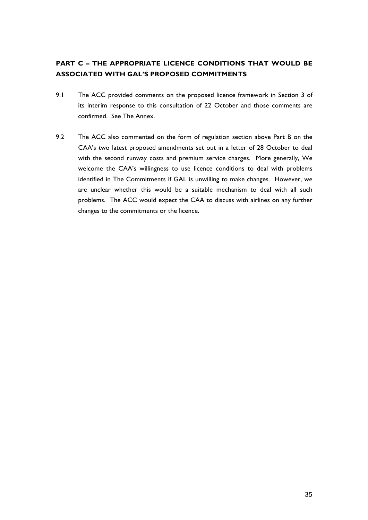## **PART C – THE APPROPRIATE LICENCE CONDITIONS THAT WOULD BE ASSOCIATED WITH GAL'S PROPOSED COMMITMENTS**

- 9.1 The ACC provided comments on the proposed licence framework in Section 3 of its interim response to this consultation of 22 October and those comments are confirmed. See The Annex.
- 9.2 The ACC also commented on the form of regulation section above Part B on the CAA's two latest proposed amendments set out in a letter of 28 October to deal with the second runway costs and premium service charges. More generally, We welcome the CAA's willingness to use licence conditions to deal with problems identified in The Commitments if GAL is unwilling to make changes. However, we are unclear whether this would be a suitable mechanism to deal with all such problems. The ACC would expect the CAA to discuss with airlines on any further changes to the commitments or the licence.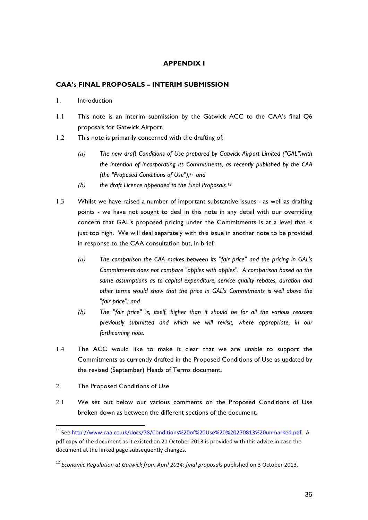## **APPENDIX I**

### **CAA's FINAL PROPOSALS – INTERIM SUBMISSION**

- 1. Introduction
- 1.1 This note is an interim submission by the Gatwick ACC to the CAA's final Q6 proposals for Gatwick Airport.
- 1.2 This note is primarily concerned with the drafting of:
	- *(a) The new draft Conditions of Use prepared by Gatwick Airport Limited ("GAL")with the intention of incorporating its Commitments, as recently published by the CAA (the "Proposed Conditions of Use");11 and*
	- *(b) the draft Licence appended to the Final Proposals.12*
- 1.3 Whilst we have raised a number of important substantive issues as well as drafting points - we have not sought to deal in this note in any detail with our overriding concern that GAL's proposed pricing under the Commitments is at a level that is just too high. We will deal separately with this issue in another note to be provided in response to the CAA consultation but, in brief:
	- *(a) The comparison the CAA makes between its "fair price" and the pricing in GAL's Commitments does not compare "apples with apples". A comparison based on the same assumptions as to capital expenditure, service quality rebates, duration and other terms would show that the price in GAL's Commitments is well above the "fair price"; and*
	- *(b) The "fair price" is, itself, higher than it should be for all the various reasons previously submitted and which we will revisit, where appropriate, in our forthcoming note.*
- 1.4 The ACC would like to make it clear that we are unable to support the Commitments as currently drafted in the Proposed Conditions of Use as updated by the revised (September) Heads of Terms document.
- 2. The Proposed Conditions of Use
- 2.1 We set out below our various comments on the Proposed Conditions of Use broken down as between the different sections of the document.

<sup>&</sup>lt;sup>11</sup> See http://www.caa.co.uk/docs/78/Conditions%20of%20Use%20%20270813%20unmarked.pdf. A pdf copy of the document as it existed on 21 October 2013 is provided with this advice in case the document at the linked page subsequently changes.

<sup>&</sup>lt;sup>12</sup> Economic Regulation at Gatwick from April 2014: final proposals published on 3 October 2013.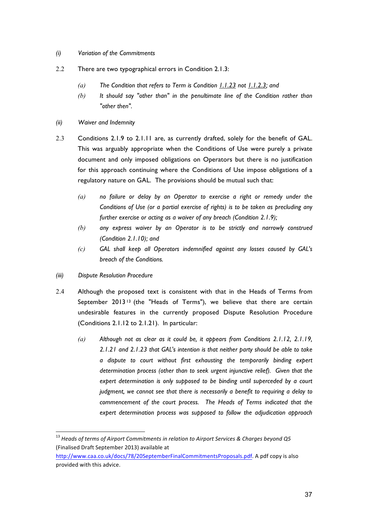- *(i) Variation of the Commitments*
- 2.2 There are two typographical errors in Condition 2.1.3:
	- *(a) The Condition that refers to Term is Condition 1.1.23 not 1.1.2.3; and*
	- *(b) It should say "other than" in the penultimate line of the Condition rather than "other then".*
- *(ii) Waiver and Indemnity*
- 2.3 Conditions 2.1.9 to 2.1.11 are, as currently drafted, solely for the benefit of GAL. This was arguably appropriate when the Conditions of Use were purely a private document and only imposed obligations on Operators but there is no justification for this approach continuing where the Conditions of Use impose obligations of a regulatory nature on GAL. The provisions should be mutual such that:
	- *(a) no failure or delay by an Operator to exercise a right or remedy under the Conditions of Use (or a partial exercise of rights) is to be taken as precluding any further exercise or acting as a waiver of any breach (Condition 2.1.9);*
	- *(b) any express waiver by an Operator is to be strictly and narrowly construed (Condition 2.1.10); and*
	- *(c) GAL shall keep all Operators indemnified against any losses caused by GAL's breach of the Conditions.*
- *(iii) Dispute Resolution Procedure*
- 2.4 Although the proposed text is consistent with that in the Heads of Terms from September  $2013^{13}$  (the "Heads of Terms"), we believe that there are certain undesirable features in the currently proposed Dispute Resolution Procedure (Conditions 2.1.12 to 2.1.21). In particular:
	- *(a) Although not as clear as it could be, it appears from Conditions 2.1.12, 2.1.19, 2.1.21 and 2.1.23 that GAL's intention is that neither party should be able to take a dispute to court without first exhausting the temporarily binding expert determination process (other than to seek urgent injunctive relief). Given that the expert determination is only supposed to be binding until superceded by a court judgment, we cannot see that there is necessarily a benefit to requiring a delay to commencement of the court process. The Heads of Terms indicated that the expert determination process was supposed to follow the adjudication approach*

<sup>&</sup>lt;sup>13</sup> Heads of terms of Airport Commitments in relation to Airport Services & Charges beyond Q5 (Finalised Draft September 2013) available at 

http://www.caa.co.uk/docs/78/20SeptemberFinalCommitmentsProposals.pdf. A pdf copy is also provided with this advice.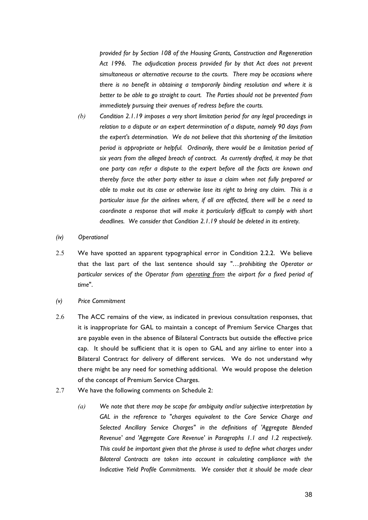*provided for by Section 108 of the Housing Grants, Construction and Regeneration Act 1996. The adjudication process provided for by that Act does not prevent simultaneous or alternative recourse to the courts. There may be occasions where there is no benefit in obtaining a temporarily binding resolution and where it is better to be able to go straight to court. The Parties should not be prevented from immediately pursuing their avenues of redress before the courts.*

- *(b) Condition 2.1.19 imposes a very short limitation period for any legal proceedings in relation to a dispute or an expert determination of a dispute, namely 90 days from the expert's determination. We do not believe that this shortening of the limitation period is appropriate or helpful. Ordinarily, there would be a limitation period of six years from the alleged breach of contract. As currently drafted, it may be that one party can refer a dispute to the expert before all the facts are known and thereby force the other party either to issue a claim when not fully prepared or able to make out its case or otherwise lose its right to bring any claim. This is a particular issue for the airlines where, if all are affected, there will be a need to coordinate a response that will make it particularly difficult to comply with short deadlines. We consider that Condition 2.1.19 should be deleted in its entirety.*
- *(iv) Operational*
- 2.5 We have spotted an apparent typographical error in Condition 2.2.2. We believe that the last part of the last sentence should say "*…prohibiting the Operator or particular services of the Operator from operating from the airport for a fixed period of time*".
- *(v) Price Commitment*
- 2.6 The ACC remains of the view, as indicated in previous consultation responses, that it is inappropriate for GAL to maintain a concept of Premium Service Charges that are payable even in the absence of Bilateral Contracts but outside the effective price cap. It should be sufficient that it is open to GAL and any airline to enter into a Bilateral Contract for delivery of different services. We do not understand why there might be any need for something additional. We would propose the deletion of the concept of Premium Service Charges.
- 2.7 We have the following comments on Schedule 2:
	- *(a) We note that there may be scope for ambiguity and/or subjective interpretation by GAL in the reference to "charges equivalent to the Core Service Charge and Selected Ancillary Service Charges" in the definitions of 'Aggregate Blended Revenue' and 'Aggregate Core Revenue' in Paragraphs 1.1 and 1.2 respectively. This could be important given that the phrase is used to define what charges under Bilateral Contracts are taken into account in calculating compliance with the Indicative Yield Profile Commitments. We consider that it should be made clear*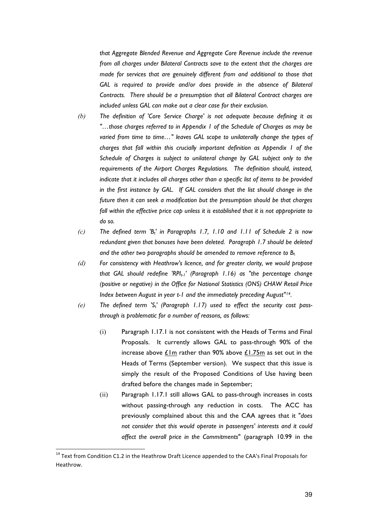*that Aggregate Blended Revenue and Aggregate Core Revenue include the revenue from all charges under Bilateral Contracts save to the extent that the charges are made for services that are genuinely different from and additional to those that GAL is required to provide and/or does provide in the absence of Bilateral Contracts. There should be a presumption that all Bilateral Contract charges are included unless GAL can make out a clear case for their exclusion.*

- *(b) The definition of 'Core Service Charge' is not adequate because defining it as "…those charges referred to in Appendix 1 of the Schedule of Charges as may be varied from time to time…" leaves GAL scope to unilaterally change the types of charges that fall within this crucially important definition as Appendix 1 of the Schedule of Charges is subject to unilateral change by GAL subject only to the requirements of the Airport Charges Regulations. The definition should, instead, indicate that it includes all charges other than a specific list of items to be provided in the first instance by GAL. If GAL considers that the list should change in the future then it can seek a modification but the presumption should be that charges fall within the effective price cap unless it is established that it is not appropriate to do so.*
- *(c) The defined term 'Bt' in Paragraphs 1.7, 1.10 and 1.11 of Schedule 2 is now redundant given that bonuses have been deleted. Paragraph 1.7 should be deleted and the other two paragraphs should be amended to remove reference to Bt.*
- *(d) For consistency with Heathrow's licence, and for greater clarity, we would propose that GAL should redefine 'RPI<sub>t-1</sub>' (Paragraph 1.16) as "the percentage change (positive or negative) in the Office for National Statistics (ONS) CHAW Retail Price Index between August in year t-1 and the immediately preceding August"14.*
- *(e) The defined term 'St' (Paragraph 1.17) used to effect the security cost passthrough is problematic for a number of reasons, as follows:*
	- (i) Paragraph 1.17.1 is not consistent with the Heads of Terms and Final Proposals. It currently allows GAL to pass-through 90% of the increase above £1m rather than 90% above £1.75m as set out in the Heads of Terms (September version). We suspect that this issue is simply the result of the Proposed Conditions of Use having been drafted before the changes made in September;
	- (ii) Paragraph 1.17.1 still allows GAL to pass-through increases in costs without passing-through any reduction in costs. The ACC has previously complained about this and the CAA agrees that it "*does not consider that this would operate in passengers' interests and it could affect the overall price in the Commitments*" (paragraph 10.99 in the

 $14$  Text from Condition C1.2 in the Heathrow Draft Licence appended to the CAA's Final Proposals for Heathrow.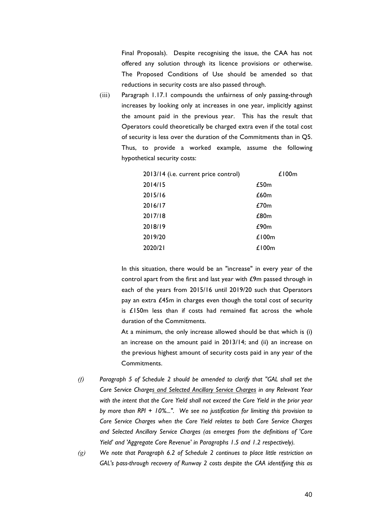Final Proposals). Despite recognising the issue, the CAA has not offered any solution through its licence provisions or otherwise. The Proposed Conditions of Use should be amended so that reductions in security costs are also passed through.

(iii) Paragraph 1.17.1 compounds the unfairness of only passing-through increases by looking only at increases in one year, implicitly against the amount paid in the previous year. This has the result that Operators could theoretically be charged extra even if the total cost of security is less over the duration of the Commitments than in Q5. Thus, to provide a worked example, assume the following hypothetical security costs:

| 2014/15<br>£50m<br>2015/16<br>£60m<br>2016/17<br>£70m<br>2017/18<br>£80m<br>2018/19<br>£90m<br>2019/20<br>£100m<br>2020/21<br>£100 $m$ | 2013/14 (i.e. current price control) | £100 $m$ |
|----------------------------------------------------------------------------------------------------------------------------------------|--------------------------------------|----------|
|                                                                                                                                        |                                      |          |
|                                                                                                                                        |                                      |          |
|                                                                                                                                        |                                      |          |
|                                                                                                                                        |                                      |          |
|                                                                                                                                        |                                      |          |
|                                                                                                                                        |                                      |          |
|                                                                                                                                        |                                      |          |

In this situation, there would be an "increase" in every year of the control apart from the first and last year with £9m passed through in each of the years from 2015/16 until 2019/20 such that Operators pay an extra £45m in charges even though the total cost of security is £150m less than if costs had remained flat across the whole duration of the Commitments.

At a minimum, the only increase allowed should be that which is (i) an increase on the amount paid in 2013/14; and (ii) an increase on the previous highest amount of security costs paid in any year of the Commitments.

- *(f) Paragraph 5 of Schedule 2 should be amended to clarify that "GAL shall set the Core Service Charges and Selected Ancillary Service Charges in any Relevant Year with the intent that the Core Yield shall not exceed the Core Yield in the prior year by more than RPI + 10%...". We see no justification for limiting this provision to Core Service Charges when the Core Yield relates to both Core Service Charges and Selected Ancillary Service Charges (as emerges from the definitions of 'Core Yield' and 'Aggregate Core Revenue' in Paragraphs 1.5 and 1.2 respectively).*
- *(g) We note that Paragraph 6.2 of Schedule 2 continues to place little restriction on GAL's pass-through recovery of Runway 2 costs despite the CAA identifying this as*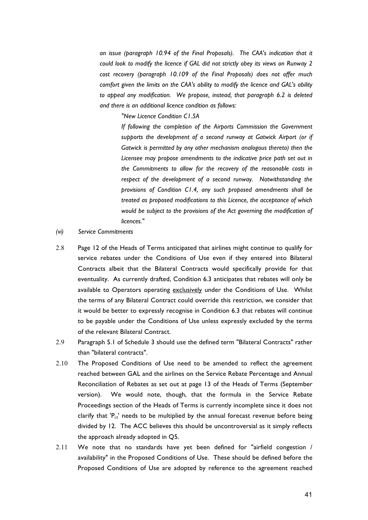*an issue (paragraph 10.94 of the Final Proposals). The CAA's indication that it could look to modify the licence if GAL did not strictly obey its views on Runway 2 cost recovery (paragraph 10.109 of the Final Proposals) does not offer much comfort given the limits on the CAA's ability to modify the licence and GAL's ability to appeal any modification. We propose, instead, that paragraph 6.2 is deleted and there is an additional licence condition as follows:*

*"New Licence Condition C1.5A*

*If following the completion of the Airports Commission the Government supports the development of a second runway at Gatwick Airport (or if Gatwick is permitted by any other mechanism analogous thereto) then the Licensee may propose amendments to the indicative price path set out in the Commitments to allow for the recovery of the reasonable costs in respect of the development of a second runway. Notwithstanding the provisions of Condition C1.4, any such proposed amendments shall be treated as proposed modifications to this Licence, the acceptance of which would be subject to the provisions of the Act governing the modification of licences."*

- *(vi) Service Commitments*
- 2.8 Page 12 of the Heads of Terms anticipated that airlines might continue to qualify for service rebates under the Conditions of Use even if they entered into Bilateral Contracts albeit that the Bilateral Contracts would specifically provide for that eventuality. As currently drafted, Condition 6.3 anticipates that rebates will only be available to Operators operating exclusively under the Conditions of Use. Whilst the terms of any Bilateral Contract could override this restriction, we consider that it would be better to expressly recognise in Condition 6.3 that rebates will continue to be payable under the Conditions of Use unless expressly excluded by the terms of the relevant Bilateral Contract.
- 2.9 Paragraph 5.1 of Schedule 3 should use the defined term "Bilateral Contracts" rather than "bilateral contracts".
- 2.10 The Proposed Conditions of Use need to be amended to reflect the agreement reached between GAL and the airlines on the Service Rebate Percentage and Annual Reconciliation of Rebates as set out at page 13 of the Heads of Terms (September version). We would note, though, that the formula in the Service Rebate Proceedings section of the Heads of Terms is currently incomplete since it does not clarify that  $P_{i,t}$ ' needs to be multiplied by the annual forecast revenue before being divided by 12. The ACC believes this should be uncontroversial as it simply reflects the approach already adopted in Q5.
- 2.11 We note that no standards have yet been defined for "airfield congestion / availability" in the Proposed Conditions of Use. These should be defined before the Proposed Conditions of Use are adopted by reference to the agreement reached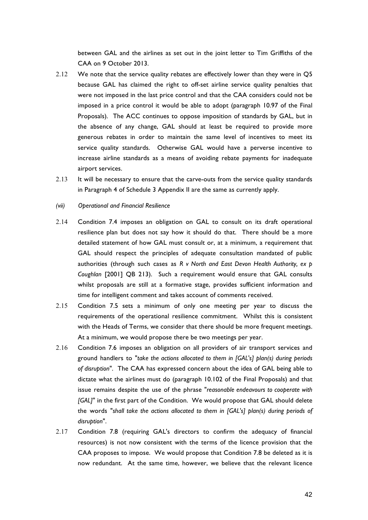between GAL and the airlines as set out in the joint letter to Tim Griffiths of the CAA on 9 October 2013.

- 2.12 We note that the service quality rebates are effectively lower than they were in Q5 because GAL has claimed the right to off-set airline service quality penalties that were not imposed in the last price control and that the CAA considers could not be imposed in a price control it would be able to adopt (paragraph 10.97 of the Final Proposals). The ACC continues to oppose imposition of standards by GAL, but in the absence of any change, GAL should at least be required to provide more generous rebates in order to maintain the same level of incentives to meet its service quality standards. Otherwise GAL would have a perverse incentive to increase airline standards as a means of avoiding rebate payments for inadequate airport services.
- 2.13 It will be necessary to ensure that the carve-outs from the service quality standards in Paragraph 4 of Schedule 3 Appendix II are the same as currently apply.
- *(vii) Operational and Financial Resilience*
- 2.14 Condition 7.4 imposes an obligation on GAL to consult on its draft operational resilience plan but does not say how it should do that. There should be a more detailed statement of how GAL must consult or, at a minimum, a requirement that GAL should respect the principles of adequate consultation mandated of public authorities (through such cases as *R v North and East Devon Health Authority, ex p Coughlan* [2001] QB 213). Such a requirement would ensure that GAL consults whilst proposals are still at a formative stage, provides sufficient information and time for intelligent comment and takes account of comments received.
- 2.15 Condition 7.5 sets a minimum of only one meeting per year to discuss the requirements of the operational resilience commitment. Whilst this is consistent with the Heads of Terms, we consider that there should be more frequent meetings. At a minimum, we would propose there be two meetings per year.
- 2.16 Condition 7.6 imposes an obligation on all providers of air transport services and ground handlers to "*take the actions allocated to them in [GAL's] plan(s) during periods of disruption*". The CAA has expressed concern about the idea of GAL being able to dictate what the airlines must do (paragraph 10.102 of the Final Proposals) and that issue remains despite the use of the phrase "*reasonable endeavours to cooperate with [GAL]*" in the first part of the Condition. We would propose that GAL should delete the words "*shall take the actions allocated to them in [GAL's] plan(s) during periods of disruption*".
- 2.17 Condition 7.8 (requiring GAL's directors to confirm the adequacy of financial resources) is not now consistent with the terms of the licence provision that the CAA proposes to impose. We would propose that Condition 7.8 be deleted as it is now redundant. At the same time, however, we believe that the relevant licence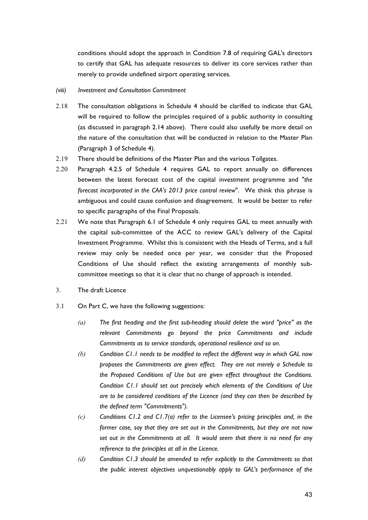conditions should adopt the approach in Condition 7.8 of requiring GAL's directors to certify that GAL has adequate resources to deliver its core services rather than merely to provide undefined airport operating services.

#### *(viii) Investment and Consultation Commitment*

- 2.18 The consultation obligations in Schedule 4 should be clarified to indicate that GAL will be required to follow the principles required of a public authority in consulting (as discussed in paragraph 2.14 above). There could also usefully be more detail on the nature of the consultation that will be conducted in relation to the Master Plan (Paragraph 3 of Schedule 4).
- 2.19 There should be definitions of the Master Plan and the various Tollgates.
- 2.20 Paragraph 4.2.5 of Schedule 4 requires GAL to report annually on differences between the latest forecast cost of the capital investment programme and "*the forecast incorporated in the CAA's 2013 price control review*". We think this phrase is ambiguous and could cause confusion and disagreement. It would be better to refer to specific paragraphs of the Final Proposals.
- 2.21 We note that Paragraph 6.1 of Schedule 4 only requires GAL to meet annually with the capital sub-committee of the ACC to review GAL's delivery of the Capital Investment Programme. Whilst this is consistent with the Heads of Terms, and a full review may only be needed once per year, we consider that the Proposed Conditions of Use should reflect the existing arrangements of monthly subcommittee meetings so that it is clear that no change of approach is intended.
- 3. The draft Licence
- 3.1 On Part C, we have the following suggestions:
	- *(a) The first heading and the first sub-heading should delete the word "price" as the relevant Commitments go beyond the price Commitments and include Commitments as to service standards, operational resilience and so on.*
	- *(b) Condition C1.1 needs to be modified to reflect the different way in which GAL now proposes the Commitments are given effect. They are not merely a Schedule to the Proposed Conditions of Use but are given effect throughout the Conditions. Condition C1.1 should set out precisely which elements of the Conditions of Use are to be considered conditions of the Licence (and they can then be described by the defined term "Commitments").*
	- *(c) Conditions C1.2 and C1.7(a) refer to the Licensee's pricing principles and, in the former case, say that they are set out in the Commitments, but they are not now set out in the Commitments at all. It would seem that there is no need for any reference to the principles at all in the Licence.*
	- *(d) Condition C1.3 should be amended to refer explicitly to the Commitments so that the public interest objectives unquestionably apply to GAL's performance of the*